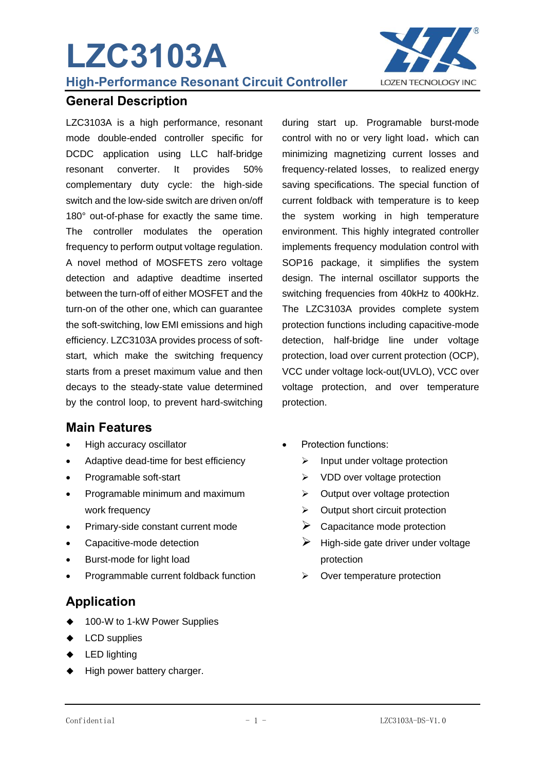# **LZC3103A**



**High-Performance Resonant Circuit Controller** 

#### **General Description**

LZC3103A is a high performance, resonant mode double-ended controller specific for DCDC application using LLC half-bridge resonant converter. It provides 50% complementary duty cycle: the high-side switch and the low-side switch are driven on/off 180° out-of-phase for exactly the same time. The controller modulates the operation frequency to perform output voltage regulation. A novel method of MOSFETS zero voltage detection and adaptive deadtime inserted between the turn-off of either MOSFET and the turn-on of the other one, which can guarantee the soft-switching, low EMI emissions and high efficiency. LZC3103A provides process of softstart, which make the switching frequency starts from a preset maximum value and then decays to the steady-state value determined by the control loop, to prevent hard-switching

#### **Main Features**

- High accuracy oscillator
- Adaptive dead-time for best efficiency
- Programable soft-start
- Programable minimum and maximum work frequency
- Primary-side constant current mode
- Capacitive-mode detection
- Burst-mode for light load
- Programmable current foldback function

#### **Application**

- 100-W to 1-kW Power Supplies
- ◆ LCD supplies
- ◆ LED lighting
- ◆ High power battery charger.

during start up. Programable burst-mode control with no or very light load, which can minimizing magnetizing current losses and frequency-related losses, to realized energy saving specifications. The special function of current foldback with temperature is to keep the system working in high temperature environment. This highly integrated controller implements frequency modulation control with SOP16 package, it simplifies the system design. The internal oscillator supports the switching frequencies from 40kHz to 400kHz. The LZC3103A provides complete system protection functions including capacitive-mode detection, half-bridge line under voltage protection, load over current protection (OCP), VCC under voltage lock-out(UVLO), VCC over voltage protection, and over temperature protection.

- Protection functions:
	- $\triangleright$  Input under voltage protection
	- ➢ VDD over voltage protection
	- $\triangleright$  Output over voltage protection
	- ➢ Output short circuit protection
	- $\triangleright$  Capacitance mode protection
	- $\triangleright$  High-side gate driver under voltage protection
	- ➢ Over temperature protection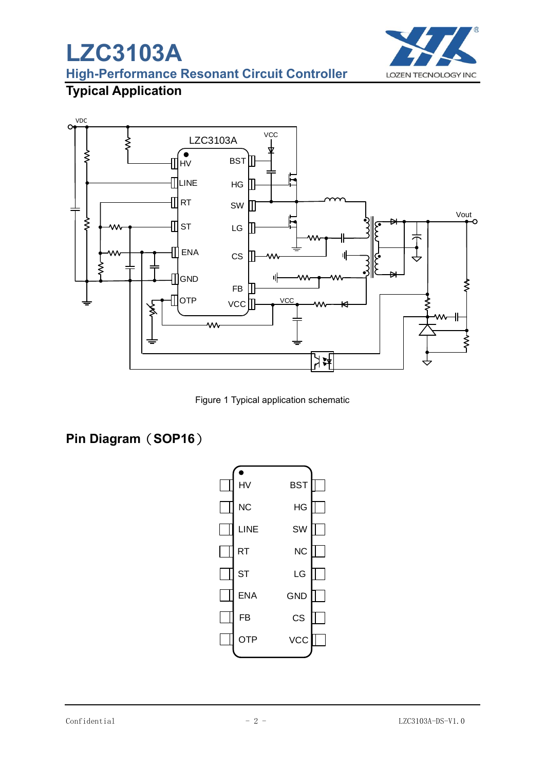# **LZC3103A**



**High-Performance Resonant Circuit Controller** 

## **Typical Application**



Figure 1 Typical application schematic

## **Pin Diagram**(**SOP16**)